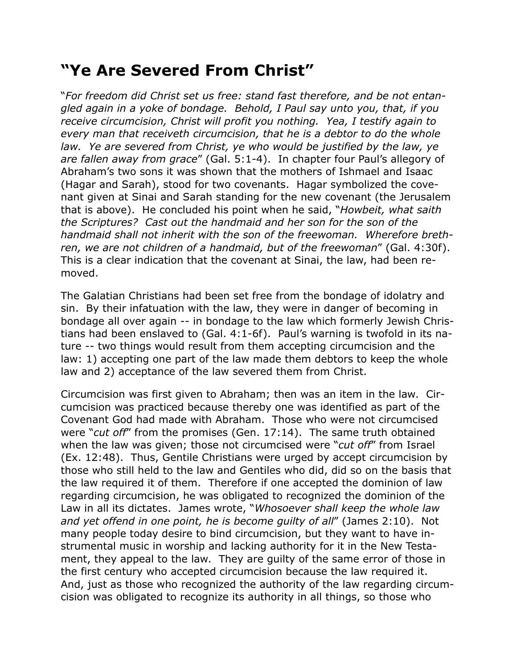## **"Ye Are Severed From Christ"**

"*For freedom did Christ set us free: stand fast therefore, and be not entangled again in a yoke of bondage. Behold, I Paul say unto you, that, if you receive circumcision, Christ will profit you nothing. Yea, I testify again to every man that receiveth circumcision, that he is a debtor to do the whole law. Ye are severed from Christ, ye who would be justified by the law, ye are fallen away from grace*" (Gal. 5:1-4). In chapter four Paul's allegory of Abraham's two sons it was shown that the mothers of Ishmael and Isaac (Hagar and Sarah), stood for two covenants. Hagar symbolized the covenant given at Sinai and Sarah standing for the new covenant (the Jerusalem that is above). He concluded his point when he said, "*Howbeit, what saith the Scriptures? Cast out the handmaid and her son for the son of the handmaid shall not inherit with the son of the freewoman. Wherefore brethren, we are not children of a handmaid, but of the freewoman*" (Gal. 4:30f). This is a clear indication that the covenant at Sinai, the law, had been removed.

The Galatian Christians had been set free from the bondage of idolatry and sin. By their infatuation with the law, they were in danger of becoming in bondage all over again -- in bondage to the law which formerly Jewish Christians had been enslaved to (Gal. 4:1-6f). Paul's warning is twofold in its nature -- two things would result from them accepting circumcision and the law: 1) accepting one part of the law made them debtors to keep the whole law and 2) acceptance of the law severed them from Christ.

Circumcision was first given to Abraham; then was an item in the law. Circumcision was practiced because thereby one was identified as part of the Covenant God had made with Abraham. Those who were not circumcised were "*cut off*" from the promises (Gen. 17:14). The same truth obtained when the law was given; those not circumcised were "*cut off*" from Israel (Ex. 12:48). Thus, Gentile Christians were urged by accept circumcision by those who still held to the law and Gentiles who did, did so on the basis that the law required it of them. Therefore if one accepted the dominion of law regarding circumcision, he was obligated to recognized the dominion of the Law in all its dictates. James wrote, "*Whosoever shall keep the whole law and yet offend in one point, he is become guilty of all*" (James 2:10). Not many people today desire to bind circumcision, but they want to have instrumental music in worship and lacking authority for it in the New Testament, they appeal to the law. They are guilty of the same error of those in the first century who accepted circumcision because the law required it. And, just as those who recognized the authority of the law regarding circumcision was obligated to recognize its authority in all things, so those who